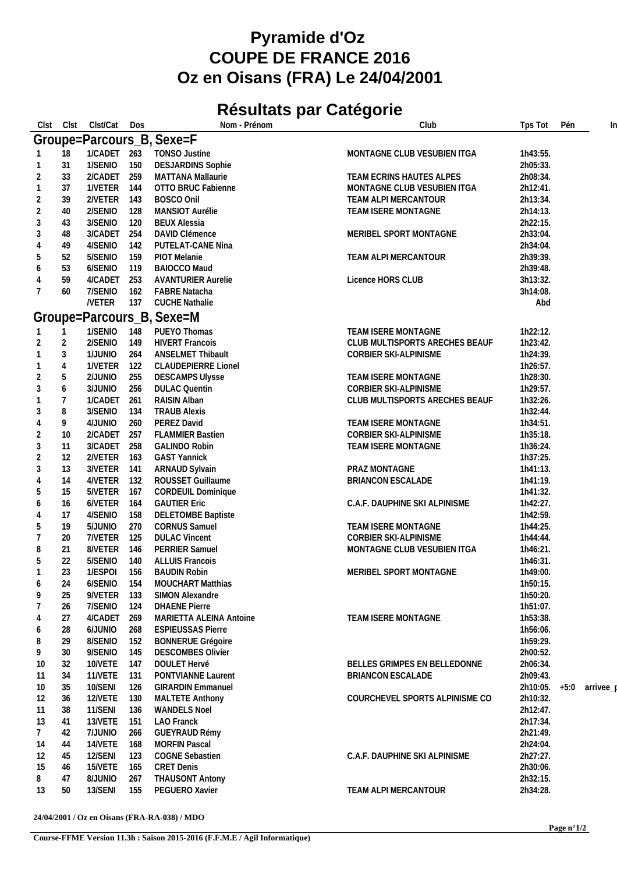## **Pyramide d'Oz COUPE DE FRANCE 2016 Oz en Oisans (FRA) Le 24/04/2001**

## **Résultats par Catégorie**

| Clst           | Clst           | Clst/Cat     | Dos | Nom - Prénom                          | Club                           | Tps Tot  | Pén    | In        |
|----------------|----------------|--------------|-----|---------------------------------------|--------------------------------|----------|--------|-----------|
|                |                |              |     | Groupe=Parcours_B, Sexe=F             |                                |          |        |           |
|                | 18             | 1/CADET 263  |     | <b>TONSO Justine</b>                  | MONTAGNE CLUB VESUBIEN ITGA    | 1h43:55. |        |           |
| -1             | 31             | 1/SENIO      | 150 | <b>DESJARDINS Sophie</b>              |                                | 2h05:33. |        |           |
| $\overline{2}$ | 33             | 2/CADET 259  |     | MATTANA Mallaurie                     | TEAM ECRINS HAUTES ALPES       | 2h08:34. |        |           |
| $\mathbf 1$    | 37             | 1/VETER 144  |     | OTTO BRUC Fabienne                    | MONTAGNE CLUB VESUBIEN ITGA    | 2h12:41. |        |           |
|                |                |              |     |                                       | TEAM ALPI MERCANTOUR           |          |        |           |
| $\overline{2}$ | 39             | 2/VETER 143  |     | BOSCO Onil<br>MANSIOT Aurélie         |                                | 2h13:34. |        |           |
| $\overline{2}$ | 40             | 2/SENIO      | 128 |                                       | TEAM ISERE MONTAGNE            | 2h14:13. |        |           |
| $\mathfrak{Z}$ | 43             | 3/SENIO      | 120 | <b>BEUX Alessia</b><br>DAVID Clémence |                                | 2h22:15. |        |           |
| $\mathbf{3}$   | 48             | 3/CADET      | 254 |                                       | MERIBEL SPORT MONTAGNE         | 2h33:04. |        |           |
| $\overline{4}$ | 49             | 4/SENIO      | 142 | PUTELAT-CANE Nina                     |                                | 2h34:04. |        |           |
| 5              | 52             | 5/SENIO      | 159 | PIOT Melanie                          | TEAM ALPI MERCANTOUR           | 2h39:39. |        |           |
| 6              | 53             | 6/SENIO      | 119 | BAIOCCO Maud                          |                                | 2h39:48. |        |           |
| $\overline{4}$ | 59             | 4/CADET      | 253 | <b>AVANTURIER Aurelie</b>             | Licence HORS CLUB              | 3h13:32. |        |           |
| $\overline{7}$ | 60             | 7/SENIO      | 162 | <b>FABRE Natacha</b>                  |                                | 3h14:08. |        |           |
|                |                | <b>NETER</b> | 137 | <b>CUCHE Nathalie</b>                 |                                | Abd      |        |           |
|                |                |              |     | Groupe=Parcours_B, Sexe=M             |                                |          |        |           |
|                |                | 1/SENIO      | 148 | PUEYO Thomas                          | TEAM ISERE MONTAGNE            | 1h22:12. |        |           |
| $\overline{2}$ | $\overline{2}$ | 2/SENIO      | 149 | <b>HIVERT Francois</b>                | CLUB MULTISPORTS ARECHES BEAUF | 1h23:42. |        |           |
| $\mathbf{1}$   | $\mathfrak{Z}$ | 1/JUNIO      | 264 | <b>ANSELMET Thibault</b>              | CORBIER SKI-ALPINISME          | 1h24:39. |        |           |
| $\overline{1}$ | $\overline{4}$ | 1/VETER      | 122 | <b>CLAUDEPIERRE Lionel</b>            |                                | 1h26:57. |        |           |
| $\overline{2}$ | 5              | 2/JUNIO      | 255 | <b>DESCAMPS Ulysse</b>                | TEAM ISERE MONTAGNE            | 1h28:30. |        |           |
| 3              | 6              | 3/JUNIO      | 256 | <b>DULAC Quentin</b>                  | CORBIER SKI-ALPINISME          | 1h29:57. |        |           |
| $\overline{1}$ | $\overline{7}$ | 1/CADET      | 261 | RAISIN Alban                          | CLUB MULTISPORTS ARECHES BEAUF | 1h32:26. |        |           |
| $\mathfrak{Z}$ | 8              | 3/SENIO      | 134 | <b>TRAUB Alexis</b>                   |                                | 1h32:44. |        |           |
| $\overline{4}$ | 9              | 4/JUNIO      | 260 | PEREZ David                           | TEAM ISERE MONTAGNE            | 1h34:51. |        |           |
| $\overline{2}$ | 10             | 2/CADET      | 257 | <b>FLAMMIER Bastien</b>               | CORBIER SKI-ALPINISME          | 1h35:18. |        |           |
| $\mathfrak{Z}$ | 11             | 3/CADET 258  |     | <b>GALINDO Robin</b>                  | TEAM ISERE MONTAGNE            | 1h36:24. |        |           |
| $\overline{2}$ | 12             | 2/VETER 163  |     | <b>GAST Yannick</b>                   |                                | 1h37:25. |        |           |
| 3              | 13             | 3/VETER 141  |     | ARNAUD Sylvain                        | PRAZ MONTAGNE                  | 1h41:13. |        |           |
| $\overline{4}$ | 14             | 4/VETER 132  |     | ROUSSET Guillaume                     | <b>BRIANCON ESCALADE</b>       | 1h41:19. |        |           |
| 5              | 15             | 5/VETER 167  |     | CORDEUIL Dominique                    |                                | 1h41:32. |        |           |
| 6              | 16             | 6/VETER 164  |     | <b>GAUTIER Eric</b>                   | C.A.F. DAUPHINE SKI ALPINISME  | 1h42:27. |        |           |
| $\overline{4}$ | 17             | 4/SENIO      | 158 | <b>DELETOMBE Baptiste</b>             |                                | 1h42:59. |        |           |
| 5              | 19             | 5/JUNIO      | 270 | <b>CORNUS Samuel</b>                  | TEAM ISERE MONTAGNE            | 1h44:25. |        |           |
| 7              | 20             | 7/VETER      | 125 | <b>DULAC Vincent</b>                  | CORBIER SKI-ALPINISME          | 1h44:44. |        |           |
| 8              | 21             | 8/VETER 146  |     | PERRIER Samuel                        | MONTAGNE CLUB VESUBIEN ITGA    | 1h46:21. |        |           |
| 5              | 22             | 5/SENIO      | 140 | <b>ALLUIS Francois</b>                |                                | 1h46:31. |        |           |
| $\mathbf 1$    | 23             | 1/ESPOI      | 156 | <b>BAUDIN Robin</b>                   | MERIBEL SPORT MONTAGNE         | 1h49:00. |        |           |
| 6              | 24             | 6/SENIO 154  |     | <b>MOUCHART Matthias</b>              |                                | 1h50:15. |        |           |
| 9              | 25             | 9/VETER 133  |     | SIMON Alexandre                       |                                | 1h50:20. |        |           |
| 7              | 26             | 7/SENIO      | 124 | <b>DHAENE Pierre</b>                  |                                | 1h51:07. |        |           |
| $\overline{4}$ | 27             | 4/CADET      | 269 | MARIETTA ALEINA Antoine               | TEAM ISERE MONTAGNE            | 1h53:38. |        |           |
| 6              | 28             | 6/JUNIO      | 268 | <b>ESPIEUSSAS Pierre</b>              |                                | 1h56:06. |        |           |
| 8              | 29             | 8/SENIO      | 152 | <b>BONNERUE Grégoire</b>              |                                | 1h59:29. |        |           |
| 9              | 30             | 9/SENIO      | 145 | <b>DESCOMBES Olivier</b>              |                                | 2h00:52. |        |           |
|                | 32             | 10/VETE      | 147 | DOULET Hervé                          | BELLES GRIMPES EN BELLEDONNE   | 2h06:34. |        |           |
| 10<br>-11      | 34             | 11/VETE      | 131 | PONTVIANNE Laurent                    | <b>BRIANCON ESCALADE</b>       | 2h09:43. |        |           |
|                |                | 10/SENI      | 126 | <b>GIRARDIN Emmanuel</b>              |                                | 2h10:05. | $+5:0$ |           |
| 10             | 35<br>36       | 12/VETE      |     |                                       | COURCHEVEL SPORTS ALPINISME CO | 2h10:32. |        | arrivee_p |
| 12             |                |              | 130 | <b>MALTETE Anthony</b>                |                                |          |        |           |
| -11            | 38             | 11/SENI      | 136 | <b>WANDELS Noel</b>                   |                                | 2h12:47. |        |           |
| 13             | 41             | 13/VETE      | 151 | <b>LAO</b> Franck                     |                                | 2h17:34. |        |           |
| 7              | 42             | 7/JUNIO      | 266 | GUEYRAUD Rémy                         |                                | 2h21:49. |        |           |
| 14             | 44             | 14/VETE      | 168 | <b>MORFIN Pascal</b>                  |                                | 2h24:04. |        |           |
| 12             | 45             | 12/SENI      | 123 | <b>COGNE Sebastien</b>                | C.A.F. DAUPHINE SKI ALPINISME  | 2h27:27. |        |           |
| 15             | 46             | 15/VETE      | 165 | <b>CRET Denis</b>                     |                                | 2h30:06. |        |           |
| 8              | 47             | 8/JUNIO      | 267 | <b>THAUSONT Antony</b>                |                                | 2h32:15. |        |           |
| 13             | 50             | 13/SENI      | 155 | PEGUERO Xavier                        | TEAM ALPI MERCANTOUR           | 2h34:28. |        |           |

**24/04/2001 / Oz en Oisans (FRA-RA-038) / MDO**